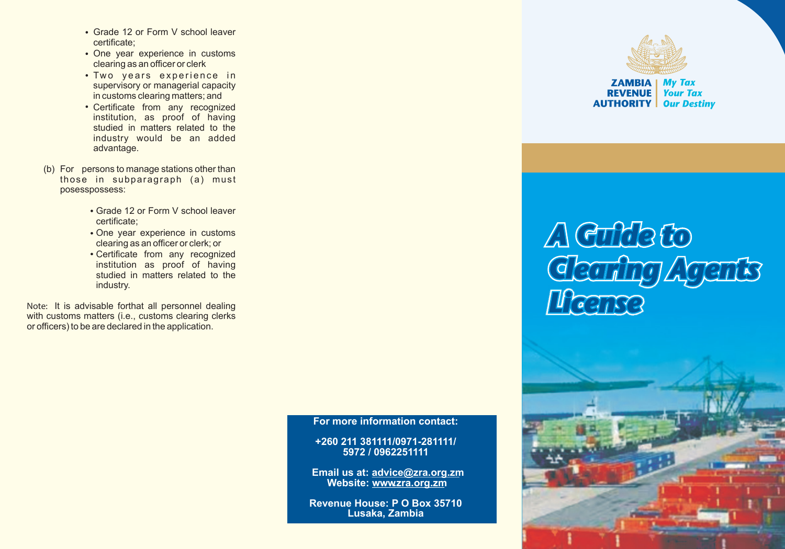- Grade 12 or Form V school leaver certificate;
- One year experience in customs clearing as an officer or clerk
- Two years experience in supervisory or managerial capacity in customs clearing matters; and
- Certificate from any recognized institution, as proof of having studied in matters related to the industry would be an added advantage.
- (b) For persons to manage stations other than those in subparagraph (a) must posesspossess:
	- Grade 12 or Form V school leaver certificate;
	- One year experience in customs clearing as an officer or clerk; or
	- Certificate from any recognized institution as proof of having studied in matters related to the industry.

**Note:** It is advisable forthat all personnel dealing with customs matters (i.e., customs clearing clerks or officers) to be are declared in the application.

**ZAMBIA | My Tax REVENUE** | Your Tax **AUTHORITY** Our Destiny

# A Cultie to<br>Gearing Agents<br>Heanse



**For more information contact:**

**+260 211 381111/0971-281111/ 5972 / 0962251111**

**Email us at: advice@zra.org.zm** Website: www.zra.org.zm

**Revenue House: P O Box 35710 Lusaka, Zambia**